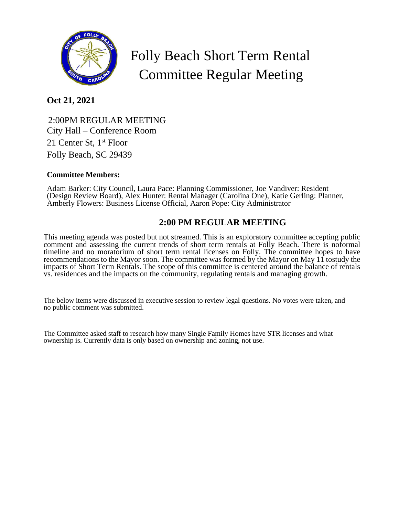

## Folly Beach Short Term Rental Committee Regular Meeting

**Oct 21, 2021**

 2:00PM REGULAR MEETING City Hall – Conference Room 21 Center St, 1<sup>st</sup> Floor Folly Beach, SC 29439

## **Committee Members:**

Adam Barker: City Council, Laura Pace: Planning Commissioner, Joe Vandiver: Resident (Design Review Board), Alex Hunter: Rental Manager (Carolina One), Katie Gerling: Planner, Amberly Flowers: Business License Official, Aaron Pope: City Administrator

## **2:00 PM REGULAR MEETING**

This meeting agenda was posted but not streamed. This is an exploratory committee accepting public comment and assessing the current trends of short term rentals at Folly Beach. There is noformal timeline and no moratorium of short term rental licenses on Folly. The committee hopes to have recommendations to the Mayor soon. The committee was formed by the Mayor on May 11 tostudy the impacts of Short Term Rentals. The scope of this committee is centered around the balance of rentals vs. residences and the impacts on the community, regulating rentals and managing growth.

The below items were discussed in executive session to review legal questions. No votes were taken, and no public comment was submitted.

The Committee asked staff to research how many Single Family Homes have STR licenses and what ownership is. Currently data is only based on ownership and zoning, not use.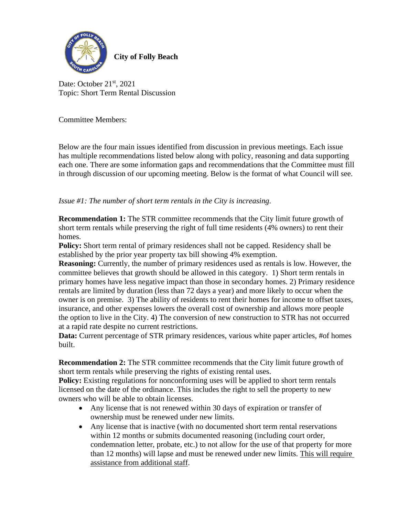

**City of Folly Beach**

Date: October 21<sup>st</sup>, 2021 Topic: Short Term Rental Discussion

Committee Members:

Below are the four main issues identified from discussion in previous meetings. Each issue has multiple recommendations listed below along with policy, reasoning and data supporting each one. There are some information gaps and recommendations that the Committee must fill in through discussion of our upcoming meeting. Below is the format of what Council will see.

*Issue #1: The number of short term rentals in the City is increasing.*

**Recommendation 1:** The STR committee recommends that the City limit future growth of short term rentals while preserving the right of full time residents (4% owners) to rent their homes.

**Policy:** Short term rental of primary residences shall not be capped. Residency shall be established by the prior year property tax bill showing 4% exemption.

**Reasoning:** Currently, the number of primary residences used as rentals is low. However, the committee believes that growth should be allowed in this category. 1) Short term rentals in primary homes have less negative impact than those in secondary homes. 2) Primary residence rentals are limited by duration (less than 72 days a year) and more likely to occur when the owner is on premise. 3) The ability of residents to rent their homes for income to offset taxes, insurance, and other expenses lowers the overall cost of ownership and allows more people the option to live in the City. 4) The conversion of new construction to STR has not occurred at a rapid rate despite no current restrictions.

**Data:** Current percentage of STR primary residences, various white paper articles, #of homes built.

**Recommendation 2:** The STR committee recommends that the City limit future growth of short term rentals while preserving the rights of existing rental uses.

**Policy:** Existing regulations for nonconforming uses will be applied to short term rentals licensed on the date of the ordinance. This includes the right to sell the property to new owners who will be able to obtain licenses.

- Any license that is not renewed within 30 days of expiration or transfer of ownership must be renewed under new limits.
- Any license that is inactive (with no documented short term rental reservations within 12 months or submits documented reasoning (including court order, condemnation letter, probate, etc.) to not allow for the use of that property for more than 12 months) will lapse and must be renewed under new limits. This will require assistance from additional staff.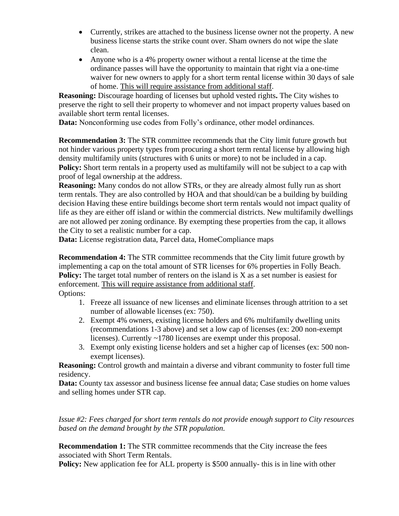- Currently, strikes are attached to the business license owner not the property. A new business license starts the strike count over. Sham owners do not wipe the slate clean.
- Anyone who is a 4% property owner without a rental license at the time the ordinance passes will have the opportunity to maintain that right via a one-time waiver for new owners to apply for a short term rental license within 30 days of sale of home. This will require assistance from additional staff.

**Reasoning:** Discourage hoarding of licenses but uphold vested rights**.** The City wishes to preserve the right to sell their property to whomever and not impact property values based on available short term rental licenses.

**Data:** Nonconforming use codes from Folly's ordinance, other model ordinances.

**Recommendation 3:** The STR committee recommends that the City limit future growth but not hinder various property types from procuring a short term rental license by allowing high density multifamily units (structures with 6 units or more) to not be included in a cap. **Policy:** Short term rentals in a property used as multifamily will not be subject to a cap with proof of legal ownership at the address.

**Reasoning:** Many condos do not allow STRs, or they are already almost fully run as short term rentals. They are also controlled by HOA and that should/can be a building by building decision Having these entire buildings become short term rentals would not impact quality of life as they are either off island or within the commercial districts. New multifamily dwellings are not allowed per zoning ordinance. By exempting these properties from the cap, it allows the City to set a realistic number for a cap.

Data: License registration data, Parcel data, HomeCompliance maps

**Recommendation 4:** The STR committee recommends that the City limit future growth by implementing a cap on the total amount of STR licenses for 6% properties in Folly Beach. **Policy:** The target total number of renters on the island is X as a set number is easiest for enforcement. This will require assistance from additional staff. Options:

- 1. Freeze all issuance of new licenses and eliminate licenses through attrition to a set number of allowable licenses (ex: 750).
- 2. Exempt 4% owners, existing license holders and 6% multifamily dwelling units (recommendations 1-3 above) and set a low cap of licenses (ex: 200 non-exempt licenses). Currently ~1780 licenses are exempt under this proposal.
- 3. Exempt only existing license holders and set a higher cap of licenses (ex: 500 nonexempt licenses).

**Reasoning:** Control growth and maintain a diverse and vibrant community to foster full time residency.

Data: County tax assessor and business license fee annual data; Case studies on home values and selling homes under STR cap.

*Issue #2: Fees charged for short term rentals do not provide enough support to City resources based on the demand brought by the STR population.*

**Recommendation 1:** The STR committee recommends that the City increase the fees associated with Short Term Rentals.

**Policy:** New application fee for ALL property is \$500 annually- this is in line with other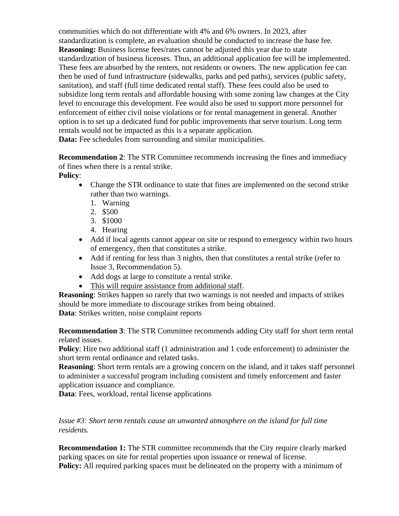communities which do not differentiate with 4% and 6% owners. In 2023, after standardization is complete, an evaluation should be conducted to increase the base fee. **Reasoning:** Business license fees/rates cannot be adjusted this year due to state standardization of business licenses. Thus, an additional application fee will be implemented. These fees are absorbed by the renters, not residents or owners. The new application fee can then be used of fund infrastructure (sidewalks, parks and ped paths), services (public safety, sanitation), and staff (full time dedicated rental staff). These fees could also be used to subsidize long term rentals and affordable housing with some zoning law changes at the City level to encourage this development. Fee would also be used to support more personnel for enforcement of either civil noise violations or for rental management in general. Another option is to set up a dedicated fund for public improvements that serve tourism. Long term rentals would not be impacted as this is a separate application. Data: Fee schedules from surrounding and similar municipalities.

**Recommendation 2**: The STR Committee recommends increasing the fines and immediacy of fines when there is a rental strike.

**Policy**:

- Change the STR ordinance to state that fines are implemented on the second strike rather than two warnings.
	- 1. Warning
	- 2. \$500
	- 3. \$1000
	- 4. Hearing
- Add if local agents cannot appear on site or respond to emergency within two hours of emergency, then that constitutes a strike.
- Add if renting for less than 3 nights, then that constitutes a rental strike (refer to Issue 3, Recommendation 5).
- Add dogs at large to constitute a rental strike.
- This will require assistance from additional staff.

**Reasoning**: Strikes happen so rarely that two warnings is not needed and impacts of strikes should be more immediate to discourage strikes from being obtained.

**Data**: Strikes written, noise complaint reports

**Recommendation 3**: The STR Committee recommends adding City staff for short term rental related issues.

**Policy**: Hire two additional staff (1 administration and 1 code enforcement) to administer the short term rental ordinance and related tasks.

**Reasoning**: Short term rentals are a growing concern on the island, and it takes staff personnel to administer a successful program including consistent and timely enforcement and faster application issuance and compliance.

**Data**: Fees, workload, rental license applications

*Issue #3: Short term rentals cause an unwanted atmosphere on the island for full time residents.*

**Recommendation 1:** The STR committee recommends that the City require clearly marked parking spaces on site for rental properties upon issuance or renewal of license. **Policy:** All required parking spaces must be delineated on the property with a minimum of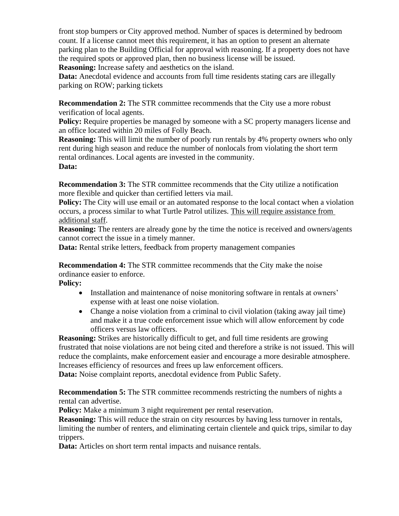front stop bumpers or City approved method. Number of spaces is determined by bedroom count. If a license cannot meet this requirement, it has an option to present an alternate parking plan to the Building Official for approval with reasoning. If a property does not have the required spots or approved plan, then no business license will be issued. **Reasoning:** Increase safety and aesthetics on the island.

Data: Anecdotal evidence and accounts from full time residents stating cars are illegally parking on ROW; parking tickets

**Recommendation 2:** The STR committee recommends that the City use a more robust verification of local agents.

**Policy:** Require properties be managed by someone with a SC property managers license and an office located within 20 miles of Folly Beach.

**Reasoning:** This will limit the number of poorly run rentals by 4% property owners who only rent during high season and reduce the number of nonlocals from violating the short term rental ordinances. Local agents are invested in the community.

## **Data:**

**Recommendation 3:** The STR committee recommends that the City utilize a notification more flexible and quicker than certified letters via mail.

**Policy:** The City will use email or an automated response to the local contact when a violation occurs, a process similar to what Turtle Patrol utilizes. This will require assistance from additional staff.

**Reasoning:** The renters are already gone by the time the notice is received and owners/agents cannot correct the issue in a timely manner.

**Data:** Rental strike letters, feedback from property management companies

**Recommendation 4:** The STR committee recommends that the City make the noise ordinance easier to enforce.

**Policy:**

- Installation and maintenance of noise monitoring software in rentals at owners' expense with at least one noise violation.
- Change a noise violation from a criminal to civil violation (taking away jail time) and make it a true code enforcement issue which will allow enforcement by code officers versus law officers.

**Reasoning:** Strikes are historically difficult to get, and full time residents are growing frustrated that noise violations are not being cited and therefore a strike is not issued. This will reduce the complaints, make enforcement easier and encourage a more desirable atmosphere. Increases efficiency of resources and frees up law enforcement officers.

**Data:** Noise complaint reports, anecdotal evidence from Public Safety.

**Recommendation 5:** The STR committee recommends restricting the numbers of nights a rental can advertise.

**Policy:** Make a minimum 3 night requirement per rental reservation.

**Reasoning:** This will reduce the strain on city resources by having less turnover in rentals, limiting the number of renters, and eliminating certain clientele and quick trips, similar to day trippers.

Data: Articles on short term rental impacts and nuisance rentals.